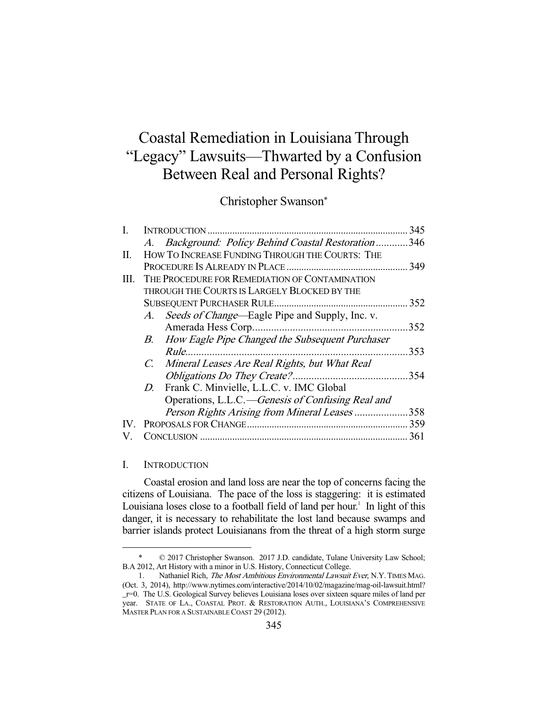# Coastal Remediation in Louisiana Through "Legacy" Lawsuits—Thwarted by a Confusion Between Real and Personal Rights?

Christopher Swanson\*

| L   | INTRODUCTION                                   |                                                    | 345  |
|-----|------------------------------------------------|----------------------------------------------------|------|
|     |                                                | A. Background: Policy Behind Coastal Restoration   | .346 |
| П.  |                                                | HOW TO INCREASE FUNDING THROUGH THE COURTS: THE    |      |
|     |                                                |                                                    | 349  |
| Ш.  | THE PROCEDURE FOR REMEDIATION OF CONTAMINATION |                                                    |      |
|     | THROUGH THE COURTS IS LARGELY BLOCKED BY THE   |                                                    |      |
|     |                                                |                                                    | 352  |
|     |                                                | A. Seeds of Change—Eagle Pipe and Supply, Inc. v.  |      |
|     |                                                |                                                    | 352  |
|     |                                                | B. How Eagle Pipe Changed the Subsequent Purchaser |      |
|     |                                                |                                                    | 353  |
|     |                                                | C. Mineral Leases Are Real Rights, but What Real   |      |
|     |                                                | Obligations Do They Create?                        | 354  |
|     |                                                | D. Frank C. Minvielle, L.L.C. v. IMC Global        |      |
|     |                                                | Operations, L.L.C.—Genesis of Confusing Real and   |      |
|     |                                                | Person Rights Arising from Mineral Leases          | .358 |
| IV. |                                                |                                                    |      |
|     |                                                |                                                    | 361  |

#### I. INTRODUCTION

 Coastal erosion and land loss are near the top of concerns facing the citizens of Louisiana. The pace of the loss is staggering: it is estimated Louisiana loses close to a football field of land per hour.<sup>1</sup> In light of this danger, it is necessary to rehabilitate the lost land because swamps and barrier islands protect Louisianans from the threat of a high storm surge

<sup>-</sup> \* © 2017 Christopher Swanson. 2017 J.D. candidate, Tulane University Law School; B.A 2012, Art History with a minor in U.S. History, Connecticut College.

<sup>1.</sup> Nathaniel Rich, The Most Ambitious Environmental Lawsuit Ever, N.Y. TIMES MAG. (Oct. 3, 2014), http://www.nytimes.com/interactive/2014/10/02/magazine/mag-oil-lawsuit.html? \_r=0. The U.S. Geological Survey believes Louisiana loses over sixteen square miles of land per year. STATE OF LA., COASTAL PROT. & RESTORATION AUTH., LOUISIANA'S COMPREHENSIVE MASTER PLAN FOR A SUSTAINABLE COAST 29 (2012).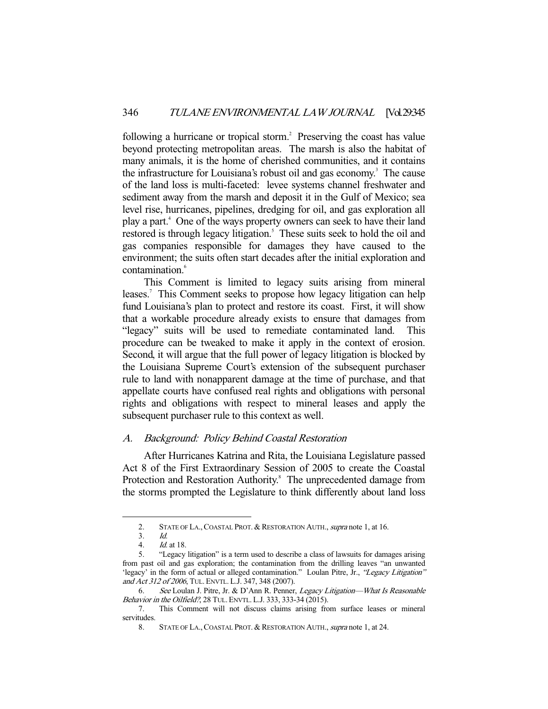following a hurricane or tropical storm.<sup>2</sup> Preserving the coast has value beyond protecting metropolitan areas. The marsh is also the habitat of many animals, it is the home of cherished communities, and it contains the infrastructure for Louisiana's robust oil and gas economy.<sup>3</sup> The cause of the land loss is multi-faceted: levee systems channel freshwater and sediment away from the marsh and deposit it in the Gulf of Mexico; sea level rise, hurricanes, pipelines, dredging for oil, and gas exploration all play a part.<sup>4</sup> One of the ways property owners can seek to have their land restored is through legacy litigation.<sup>5</sup> These suits seek to hold the oil and gas companies responsible for damages they have caused to the environment; the suits often start decades after the initial exploration and contamination.<sup>6</sup>

 This Comment is limited to legacy suits arising from mineral leases.<sup>7</sup> This Comment seeks to propose how legacy litigation can help fund Louisiana's plan to protect and restore its coast. First, it will show that a workable procedure already exists to ensure that damages from "legacy" suits will be used to remediate contaminated land. This procedure can be tweaked to make it apply in the context of erosion. Second, it will argue that the full power of legacy litigation is blocked by the Louisiana Supreme Court's extension of the subsequent purchaser rule to land with nonapparent damage at the time of purchase, and that appellate courts have confused real rights and obligations with personal rights and obligations with respect to mineral leases and apply the subsequent purchaser rule to this context as well.

## A. Background: Policy Behind Coastal Restoration

 After Hurricanes Katrina and Rita, the Louisiana Legislature passed Act 8 of the First Extraordinary Session of 2005 to create the Coastal Protection and Restoration Authority.<sup>8</sup> The unprecedented damage from the storms prompted the Legislature to think differently about land loss

<sup>2.</sup> STATE OF LA., COASTAL PROT. & RESTORATION AUTH., supra note 1, at 16.

 <sup>3.</sup> Id.

 <sup>4.</sup> Id. at 18.

 <sup>5. &</sup>quot;Legacy litigation" is a term used to describe a class of lawsuits for damages arising from past oil and gas exploration; the contamination from the drilling leaves "an unwanted 'legacy' in the form of actual or alleged contamination." Loulan Pitre, Jr., "Legacy Litigation" and Act 312 of 2006, TUL. ENVTL. L.J. 347, 348 (2007).

 <sup>6.</sup> See Loulan J. Pitre, Jr. & D'Ann R. Penner, Legacy Litigation—What Is Reasonable Behavior in the Oilfield?, 28 TUL. ENVTL. L.J. 333, 333-34 (2015).

 <sup>7.</sup> This Comment will not discuss claims arising from surface leases or mineral servitudes.

<sup>8.</sup> STATE OF LA., COASTAL PROT. & RESTORATION AUTH., supra note 1, at 24.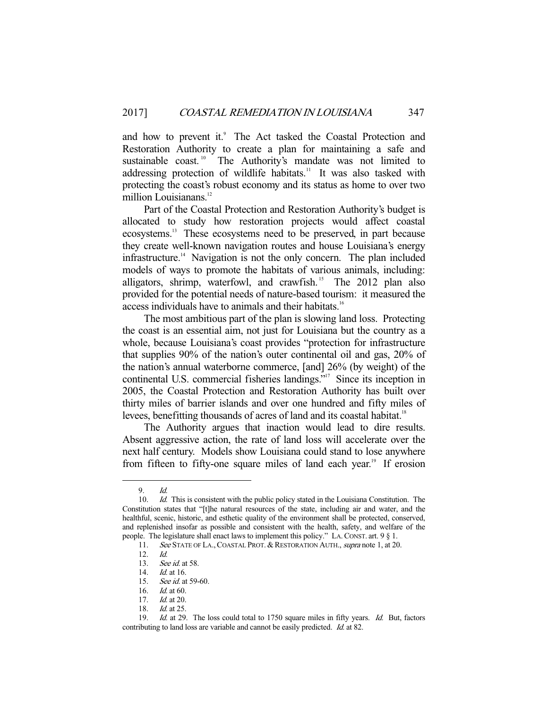and how to prevent it.<sup>9</sup> The Act tasked the Coastal Protection and Restoration Authority to create a plan for maintaining a safe and sustainable coast.<sup>10</sup> The Authority's mandate was not limited to addressing protection of wildlife habitats.<sup>11</sup> It was also tasked with protecting the coast's robust economy and its status as home to over two million Louisianans.<sup>12</sup>

 Part of the Coastal Protection and Restoration Authority's budget is allocated to study how restoration projects would affect coastal ecosystems.13 These ecosystems need to be preserved, in part because they create well-known navigation routes and house Louisiana's energy infrastructure.14 Navigation is not the only concern. The plan included models of ways to promote the habitats of various animals, including: alligators, shrimp, waterfowl, and crawfish.<sup>15</sup> The 2012 plan also provided for the potential needs of nature-based tourism: it measured the access individuals have to animals and their habitats.<sup>16</sup>

 The most ambitious part of the plan is slowing land loss. Protecting the coast is an essential aim, not just for Louisiana but the country as a whole, because Louisiana's coast provides "protection for infrastructure that supplies 90% of the nation's outer continental oil and gas, 20% of the nation's annual waterborne commerce, [and] 26% (by weight) of the continental U.S. commercial fisheries landings."<sup>17</sup> Since its inception in 2005, the Coastal Protection and Restoration Authority has built over thirty miles of barrier islands and over one hundred and fifty miles of levees, benefitting thousands of acres of land and its coastal habitat.<sup>18</sup>

 The Authority argues that inaction would lead to dire results. Absent aggressive action, the rate of land loss will accelerate over the next half century. Models show Louisiana could stand to lose anywhere from fifteen to fifty-one square miles of land each year.<sup>19</sup> If erosion

<sup>9.</sup>  $\frac{Id}{d}$ 

Id. This is consistent with the public policy stated in the Louisiana Constitution. The Constitution states that "[t]he natural resources of the state, including air and water, and the healthful, scenic, historic, and esthetic quality of the environment shall be protected, conserved, and replenished insofar as possible and consistent with the health, safety, and welfare of the people. The legislature shall enact laws to implement this policy." LA.CONST. art. 9 § 1.

<sup>11.</sup> See STATE OF LA., COASTAL PROT. & RESTORATION AUTH., supra note 1, at 20.

<sup>12.</sup>  $Id.$ <br>13.  $See$ 

<sup>13.</sup> *See id.* at 58.<br>14. *Id.* at 16.

*Id.* at 16.

 <sup>15.</sup> See id. at 59-60.

 <sup>16.</sup> Id. at 60.

<sup>17.</sup> *Id.* at 20.

 <sup>18.</sup> Id. at 25.

<sup>19.</sup> Id. at 29. The loss could total to 1750 square miles in fifty years. Id. But, factors contributing to land loss are variable and cannot be easily predicted. Id. at 82.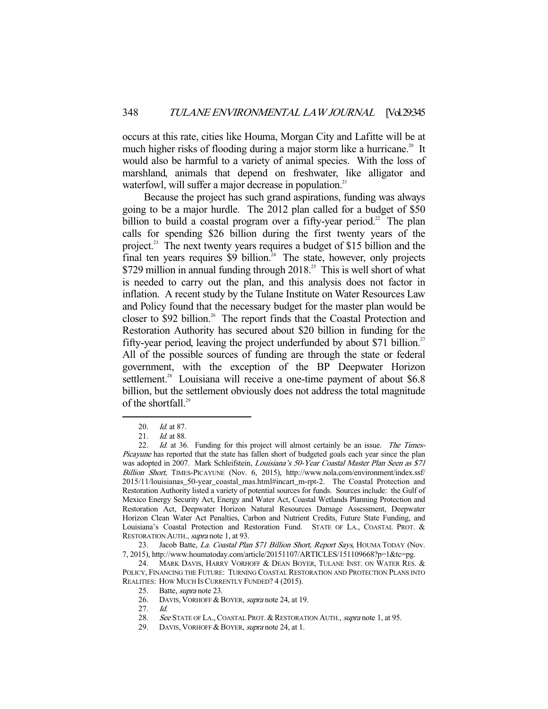occurs at this rate, cities like Houma, Morgan City and Lafitte will be at much higher risks of flooding during a major storm like a hurricane.<sup>20</sup> It would also be harmful to a variety of animal species. With the loss of marshland, animals that depend on freshwater, like alligator and waterfowl, will suffer a major decrease in population.<sup>21</sup>

 Because the project has such grand aspirations, funding was always going to be a major hurdle. The 2012 plan called for a budget of \$50 billion to build a coastal program over a fifty-year period.<sup>22</sup> The plan calls for spending \$26 billion during the first twenty years of the project.<sup>23</sup> The next twenty years requires a budget of \$15 billion and the final ten years requires  $\frac{1}{2}$  billion.<sup>24</sup> The state, however, only projects \$729 million in annual funding through  $2018<sup>25</sup>$ . This is well short of what is needed to carry out the plan, and this analysis does not factor in inflation. A recent study by the Tulane Institute on Water Resources Law and Policy found that the necessary budget for the master plan would be closer to \$92 billion.<sup>26</sup> The report finds that the Coastal Protection and Restoration Authority has secured about \$20 billion in funding for the fifty-year period, leaving the project underfunded by about \$71 billion.<sup>27</sup> All of the possible sources of funding are through the state or federal government, with the exception of the BP Deepwater Horizon settlement.<sup>28</sup> Louisiana will receive a one-time payment of about \$6.8 billion, but the settlement obviously does not address the total magnitude of the shortfall.<sup>29</sup>

 <sup>20.</sup> Id. at 87.

<sup>21.</sup> *Id.* at 88.

<sup>22.</sup> Id. at 36. Funding for this project will almost certainly be an issue. The Times-Picayune has reported that the state has fallen short of budgeted goals each year since the plan was adopted in 2007. Mark Schleifstein, Louisiana's 50-Year Coastal Master Plan Seen as \$71 Billion Short, TIMES-PICAYUNE (Nov. 6, 2015), http://www.nola.com/environment/index.ssf/ 2015/11/louisianas\_50-year\_coastal\_mas.html#incart\_m-rpt-2. The Coastal Protection and Restoration Authority listed a variety of potential sources for funds. Sources include: the Gulf of Mexico Energy Security Act, Energy and Water Act, Coastal Wetlands Planning Protection and Restoration Act, Deepwater Horizon Natural Resources Damage Assessment, Deepwater Horizon Clean Water Act Penalties, Carbon and Nutrient Credits, Future State Funding, and Louisiana's Coastal Protection and Restoration Fund. STATE OF LA., COASTAL PROT. & RESTORATION AUTH., supra note 1, at 93.

<sup>23.</sup> Jacob Batte, La. Coastal Plan \$71 Billion Short, Report Says, HOUMA TODAY (Nov. 7, 2015), http://www.houmatoday.com/article/20151107/ARTICLES/151109668?p=1&tc=pg.

<sup>24.</sup> MARK DAVIS, HARRY VORHOFF & DEAN BOYER, TULANE INST. ON WATER RES. & POLICY, FINANCING THE FUTURE: TURNING COASTAL RESTORATION AND PROTECTION PLANS INTO REALITIES: HOW MUCH IS CURRENTLY FUNDED? 4 (2015).

<sup>25.</sup> Batte, *supra* note 23.

<sup>26.</sup> DAVIS, VORHOFF & BOYER, supra note 24, at 19.

 <sup>27.</sup> Id.

<sup>28.</sup> See STATE OF LA., COASTAL PROT. & RESTORATION AUTH., supra note 1, at 95.

<sup>29.</sup> DAVIS, VORHOFF & BOYER, supra note 24, at 1.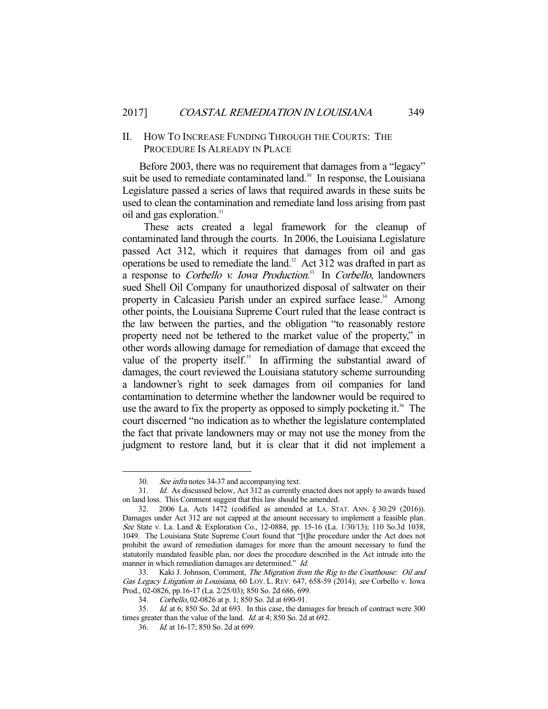#### II. HOW TO INCREASE FUNDING THROUGH THE COURTS: THE PROCEDURE IS ALREADY IN PLACE

 Before 2003, there was no requirement that damages from a "legacy" suit be used to remediate contaminated land.<sup>30</sup> In response, the Louisiana Legislature passed a series of laws that required awards in these suits be used to clean the contamination and remediate land loss arising from past oil and gas exploration.<sup>31</sup>

 These acts created a legal framework for the cleanup of contaminated land through the courts. In 2006, the Louisiana Legislature passed Act 312, which it requires that damages from oil and gas operations be used to remediate the land.<sup>32</sup> Act 312 was drafted in part as a response to *Corbello v. Iowa Production*.<sup>33</sup> In *Corbello*, landowners sued Shell Oil Company for unauthorized disposal of saltwater on their property in Calcasieu Parish under an expired surface lease.<sup>34</sup> Among other points, the Louisiana Supreme Court ruled that the lease contract is the law between the parties, and the obligation "to reasonably restore property need not be tethered to the market value of the property," in other words allowing damage for remediation of damage that exceed the value of the property itself.<sup>35</sup> In affirming the substantial award of damages, the court reviewed the Louisiana statutory scheme surrounding a landowner's right to seek damages from oil companies for land contamination to determine whether the landowner would be required to use the award to fix the property as opposed to simply pocketing it.<sup>36</sup> The court discerned "no indication as to whether the legislature contemplated the fact that private landowners may or may not use the money from the judgment to restore land, but it is clear that it did not implement a

 <sup>30.</sup> See infra notes 34-37 and accompanying text.

 <sup>31.</sup> Id. As discussed below, Act 312 as currently enacted does not apply to awards based on land loss. This Comment suggest that this law should be amended.

 <sup>32. 2006</sup> La. Acts 1472 (codified as amended at LA. STAT. ANN. § 30:29 (2016)). Damages under Act 312 are not capped at the amount necessary to implement a feasible plan. See State v. La. Land & Exploration Co., 12-0884, pp. 15-16 (La. 1/30/13); 110 So.3d 1038, 1049. The Louisiana State Supreme Court found that "[t]he procedure under the Act does not prohibit the award of remediation damages for more than the amount necessary to fund the statutorily mandated feasible plan, nor does the procedure described in the Act intrude into the manner in which remediation damages are determined." Id.

 <sup>33.</sup> Kaki J. Johnson, Comment, The Migration from the Rig to the Courthouse: Oil and Gas Legacy Litigation in Louisiana, 60 LOY. L. REV. 647, 658-59 (2014); see Corbello v. Iowa Prod., 02-0826, pp.16-17 (La. 2/25/03); 850 So. 2d 686, 699.

 <sup>34.</sup> Corbello, 02-0826 at p. 1; 850 So. 2d at 690-91.

 <sup>35.</sup> Id. at 6; 850 So. 2d at 693. In this case, the damages for breach of contract were 300 times greater than the value of the land. *Id.* at 4; 850 So. 2d at 692.

 <sup>36.</sup> Id. at 16-17; 850 So. 2d at 699.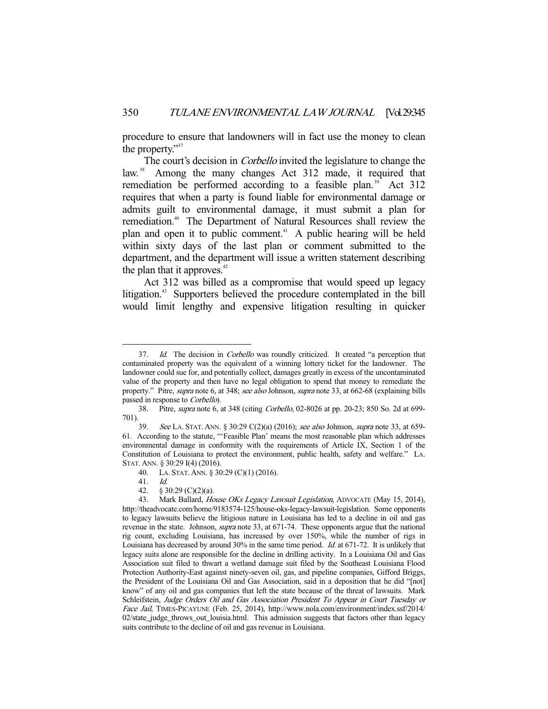procedure to ensure that landowners will in fact use the money to clean the property."<sup>37</sup>

The court's decision in *Corbello* invited the legislature to change the law.<sup>38</sup> Among the many changes Act 312 made, it required that remediation be performed according to a feasible plan.<sup>39</sup> Act 312 requires that when a party is found liable for environmental damage or admits guilt to environmental damage, it must submit a plan for remediation.<sup>40</sup> The Department of Natural Resources shall review the plan and open it to public comment.<sup>41</sup> A public hearing will be held within sixty days of the last plan or comment submitted to the department, and the department will issue a written statement describing the plan that it approves. $42$ 

 Act 312 was billed as a compromise that would speed up legacy litigation.<sup>43</sup> Supporters believed the procedure contemplated in the bill would limit lengthy and expensive litigation resulting in quicker

<sup>37.</sup> Id. The decision in Corbello was roundly criticized. It created "a perception that contaminated property was the equivalent of a winning lottery ticket for the landowner. The landowner could sue for, and potentially collect, damages greatly in excess of the uncontaminated value of the property and then have no legal obligation to spend that money to remediate the property." Pitre, *supra* note 6, at 348; see also Johnson, *supra* note 33, at 662-68 (explaining bills passed in response to Corbello).

 <sup>38.</sup> Pitre, supra note 6, at 348 (citing Corbello, 02-8026 at pp. 20-23; 850 So. 2d at 699- 701).

 <sup>39.</sup> See LA. STAT. ANN. § 30:29 C(2)(a) (2016); see also Johnson, supra note 33, at 659- 61. According to the statute, "'Feasible Plan' means the most reasonable plan which addresses environmental damage in conformity with the requirements of Article IX, Section 1 of the Constitution of Louisiana to protect the environment, public health, safety and welfare." LA. STAT. ANN. § 30:29 I(4) (2016).

 <sup>40.</sup> LA. STAT. ANN. § 30:29 (C)(1) (2016).

 <sup>41.</sup> Id.

<sup>42. § 30:29 (</sup>C)(2)(a).<br>43. Mark Ballard, *Hc* Mark Ballard, House OKs Legacy Lawsuit Legislation, ADVOCATE (May 15, 2014), http://theadvocate.com/home/9183574-125/house-oks-legacy-lawsuit-legislation. Some opponents to legacy lawsuits believe the litigious nature in Louisiana has led to a decline in oil and gas revenue in the state. Johnson, *supra* note 33, at 671-74. These opponents argue that the national rig count, excluding Louisiana, has increased by over 150%, while the number of rigs in Louisiana has decreased by around 30% in the same time period. Id. at 671-72. It is unlikely that legacy suits alone are responsible for the decline in drilling activity. In a Louisiana Oil and Gas Association suit filed to thwart a wetland damage suit filed by the Southeast Louisiana Flood Protection Authority-East against ninety-seven oil, gas, and pipeline companies, Gifford Briggs, the President of the Louisiana Oil and Gas Association, said in a deposition that he did "[not] know" of any oil and gas companies that left the state because of the threat of lawsuits. Mark Schleifstein, Judge Orders Oil and Gas Association President To Appear in Court Tuesday or Face Jail, TIMES-PICAYUNE (Feb. 25, 2014), http://www.nola.com/environment/index.ssf/2014/ 02/state\_judge\_throws\_out\_louisia.html. This admission suggests that factors other than legacy suits contribute to the decline of oil and gas revenue in Louisiana.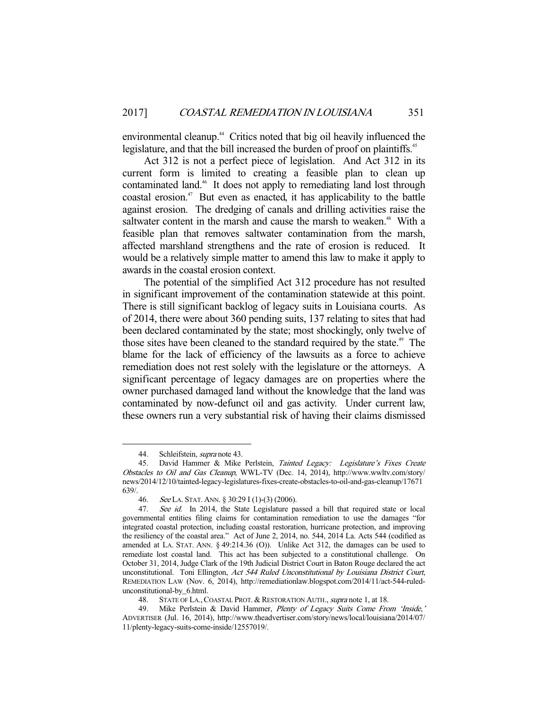environmental cleanup.<sup>44</sup> Critics noted that big oil heavily influenced the legislature, and that the bill increased the burden of proof on plaintiffs.<sup>45</sup>

 Act 312 is not a perfect piece of legislation. And Act 312 in its current form is limited to creating a feasible plan to clean up contaminated land.<sup>46</sup> It does not apply to remediating land lost through  $\alpha$ coastal erosion.<sup>47</sup> But even as enacted, it has applicability to the battle against erosion. The dredging of canals and drilling activities raise the saltwater content in the marsh and cause the marsh to weaken.<sup>48</sup> With a feasible plan that removes saltwater contamination from the marsh, affected marshland strengthens and the rate of erosion is reduced. It would be a relatively simple matter to amend this law to make it apply to awards in the coastal erosion context.

 The potential of the simplified Act 312 procedure has not resulted in significant improvement of the contamination statewide at this point. There is still significant backlog of legacy suits in Louisiana courts. As of 2014, there were about 360 pending suits, 137 relating to sites that had been declared contaminated by the state; most shockingly, only twelve of those sites have been cleaned to the standard required by the state.<sup>49</sup> The blame for the lack of efficiency of the lawsuits as a force to achieve remediation does not rest solely with the legislature or the attorneys. A significant percentage of legacy damages are on properties where the owner purchased damaged land without the knowledge that the land was contaminated by now-defunct oil and gas activity. Under current law, these owners run a very substantial risk of having their claims dismissed

-

48. STATE OF LA., COASTAL PROT. & RESTORATION AUTH., supra note 1, at 18.

<sup>44.</sup> Schleifstein, *supra* note 43.

<sup>45.</sup> David Hammer & Mike Perlstein, Tainted Legacy: Legislature's Fixes Create Obstacles to Oil and Gas Cleanup, WWL-TV (Dec. 14, 2014), http://www.wwltv.com/story/ news/2014/12/10/tainted-legacy-legislatures-fixes-create-obstacles-to-oil-and-gas-cleanup/17671  $639/$ .  $46$ .

<sup>46.</sup> See LA. STAT. ANN. § 30:29 I (1)-(3) (2006).<br>47. See id. In 2014, the State Legislature pa

See id. In 2014, the State Legislature passed a bill that required state or local governmental entities filing claims for contamination remediation to use the damages "for integrated coastal protection, including coastal restoration, hurricane protection, and improving the resiliency of the coastal area." Act of June 2, 2014, no. 544, 2014 La. Acts 544 (codified as amended at LA. STAT. ANN. § 49:214.36 (O)). Unlike Act 312, the damages can be used to remediate lost coastal land. This act has been subjected to a constitutional challenge. On October 31, 2014, Judge Clark of the 19th Judicial District Court in Baton Rouge declared the act unconstitutional. Toni Ellington, Act 544 Ruled Unconstitutional by Louisiana District Court, REMEDIATION LAW (Nov. 6, 2014), http://remediationlaw.blogspot.com/2014/11/act-544-ruledunconstitutional-by\_6.html.

<sup>49.</sup> Mike Perlstein & David Hammer, Plenty of Legacy Suits Come From 'Inside,' ADVERTISER (Jul. 16, 2014), http://www.theadvertiser.com/story/news/local/louisiana/2014/07/ 11/plenty-legacy-suits-come-inside/12557019/.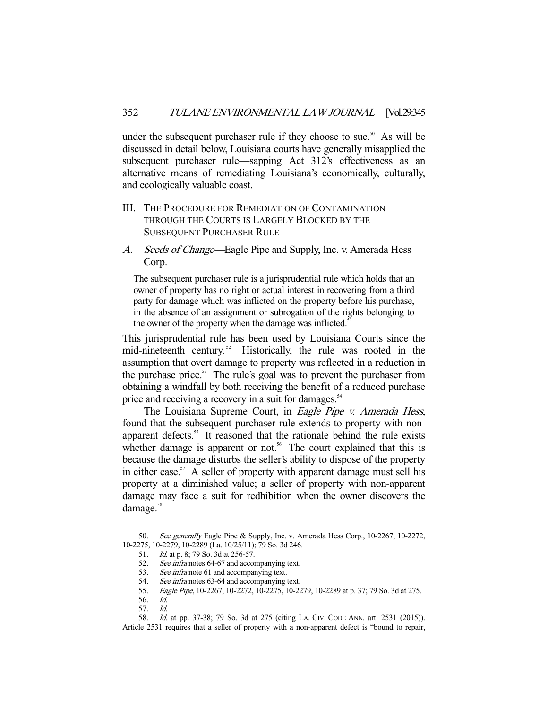under the subsequent purchaser rule if they choose to sue.<sup>50</sup> As will be discussed in detail below, Louisiana courts have generally misapplied the subsequent purchaser rule—sapping Act 312's effectiveness as an alternative means of remediating Louisiana's economically, culturally, and ecologically valuable coast.

- III. THE PROCEDURE FOR REMEDIATION OF CONTAMINATION THROUGH THE COURTS IS LARGELY BLOCKED BY THE SUBSEQUENT PURCHASER RULE
- A. Seeds of Change—Eagle Pipe and Supply, Inc. v. Amerada Hess Corp.

The subsequent purchaser rule is a jurisprudential rule which holds that an owner of property has no right or actual interest in recovering from a third party for damage which was inflicted on the property before his purchase, in the absence of an assignment or subrogation of the rights belonging to the owner of the property when the damage was inflicted.<sup>5</sup>

This jurisprudential rule has been used by Louisiana Courts since the mid-nineteenth century.<sup>52</sup> Historically, the rule was rooted in the assumption that overt damage to property was reflected in a reduction in the purchase price.<sup>53</sup> The rule's goal was to prevent the purchaser from obtaining a windfall by both receiving the benefit of a reduced purchase price and receiving a recovery in a suit for damages.<sup>54</sup>

The Louisiana Supreme Court, in *Eagle Pipe v. Amerada Hess*, found that the subsequent purchaser rule extends to property with nonapparent defects.<sup>55</sup> It reasoned that the rationale behind the rule exists whether damage is apparent or not.<sup>56</sup> The court explained that this is because the damage disturbs the seller's ability to dispose of the property in either case.<sup>57</sup> A seller of property with apparent damage must sell his property at a diminished value; a seller of property with non-apparent damage may face a suit for redhibition when the owner discovers the damage.<sup>58</sup>

<sup>50.</sup> See generally Eagle Pipe & Supply, Inc. v. Amerada Hess Corp., 10-2267, 10-2272, 10-2275, 10-2279, 10-2289 (La. 10/25/11); 79 So. 3d 246.

<sup>51.</sup> *Id.* at p. 8; 79 So. 3d at 256-57.

 <sup>52.</sup> See infra notes 64-67 and accompanying text.

<sup>53.</sup> See infra note 61 and accompanying text.

<sup>54.</sup> See infra notes 63-64 and accompanying text.

 <sup>55.</sup> Eagle Pipe, 10-2267, 10-2272, 10-2275, 10-2279, 10-2289 at p. 37; 79 So. 3d at 275.

 <sup>56.</sup> Id.

 <sup>57.</sup> Id.

 <sup>58.</sup> Id. at pp. 37-38; 79 So. 3d at 275 (citing LA. CIV. CODE ANN. art. 2531 (2015)). Article 2531 requires that a seller of property with a non-apparent defect is "bound to repair,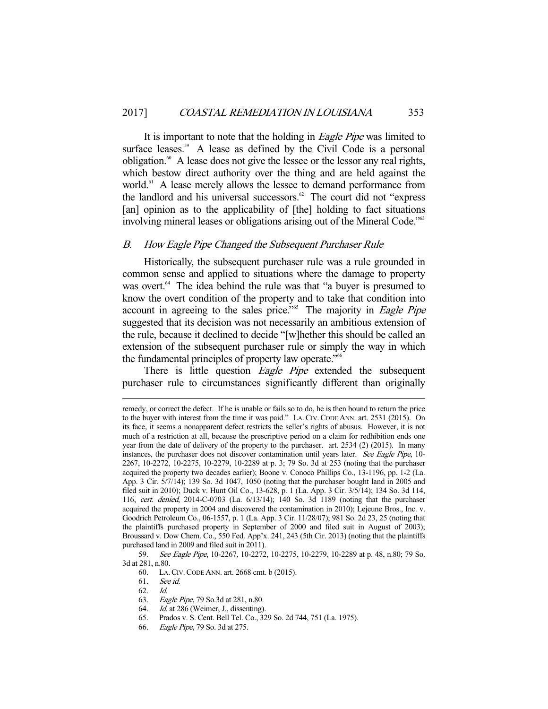It is important to note that the holding in *Eagle Pipe* was limited to surface leases.<sup>59</sup> A lease as defined by the Civil Code is a personal obligation.60 A lease does not give the lessee or the lessor any real rights, which bestow direct authority over the thing and are held against the world.<sup>61</sup> A lease merely allows the lessee to demand performance from the landlord and his universal successors. $62$  The court did not "express" [an] opinion as to the applicability of [the] holding to fact situations involving mineral leases or obligations arising out of the Mineral Code."<sup>63</sup>

#### B. How Eagle Pipe Changed the Subsequent Purchaser Rule

 Historically, the subsequent purchaser rule was a rule grounded in common sense and applied to situations where the damage to property was overt.<sup>64</sup> The idea behind the rule was that "a buyer is presumed to know the overt condition of the property and to take that condition into account in agreeing to the sales price."<sup>65</sup> The majority in *Eagle Pipe* suggested that its decision was not necessarily an ambitious extension of the rule, because it declined to decide "[w]hether this should be called an extension of the subsequent purchaser rule or simply the way in which the fundamental principles of property law operate."<sup>66</sup>

There is little question *Eagle Pipe* extended the subsequent purchaser rule to circumstances significantly different than originally

60. LA.CIV.CODE ANN. art. 2668 cmt. b (2015).

62. Id.

- 63. Eagle Pipe, 79 So.3d at 281, n.80.
- 
- 64. *Id.* at 286 (Weimer, J., dissenting).<br>65. Prados v. S. Cent. Bell Tel. Co.. 32 65. Prados v. S. Cent. Bell Tel. Co., 329 So. 2d 744, 751 (La. 1975).
- 66. Eagle Pipe, 79 So. 3d at 275.

remedy, or correct the defect. If he is unable or fails so to do, he is then bound to return the price to the buyer with interest from the time it was paid." LA.CIV.CODE ANN. art. 2531 (2015). On its face, it seems a nonapparent defect restricts the seller's rights of abusus. However, it is not much of a restriction at all, because the prescriptive period on a claim for redhibition ends one year from the date of delivery of the property to the purchaser. art. 2534 (2) (2015). In many instances, the purchaser does not discover contamination until years later. See Eagle Pipe, 10- 2267, 10-2272, 10-2275, 10-2279, 10-2289 at p. 3; 79 So. 3d at 253 (noting that the purchaser acquired the property two decades earlier); Boone v. Conoco Phillips Co., 13-1196, pp. 1-2 (La. App. 3 Cir. 5/7/14); 139 So. 3d 1047, 1050 (noting that the purchaser bought land in 2005 and filed suit in 2010); Duck v. Hunt Oil Co., 13-628, p. 1 (La. App. 3 Cir. 3/5/14); 134 So. 3d 114, 116, cert. denied, 2014-C-0703 (La. 6/13/14); 140 So. 3d 1189 (noting that the purchaser acquired the property in 2004 and discovered the contamination in 2010); Lejeune Bros., Inc. v. Goodrich Petroleum Co., 06-1557, p. 1 (La. App. 3 Cir. 11/28/07); 981 So. 2d 23, 25 (noting that the plaintiffs purchased property in September of 2000 and filed suit in August of 2003); Broussard v. Dow Chem. Co., 550 Fed. App'x. 241, 243 (5th Cir. 2013) (noting that the plaintiffs purchased land in 2009 and filed suit in 2011).

 <sup>59.</sup> See Eagle Pipe, 10-2267, 10-2272, 10-2275, 10-2279, 10-2289 at p. 48, n.80; 79 So. 3d at 281, n.80.

 <sup>61.</sup> See id.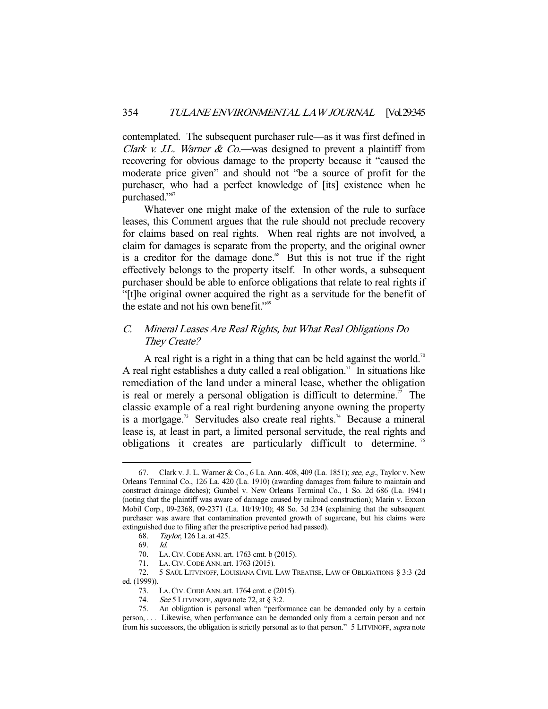contemplated. The subsequent purchaser rule—as it was first defined in *Clark v. J.L. Warner & Co.*—was designed to prevent a plaintiff from recovering for obvious damage to the property because it "caused the moderate price given" and should not "be a source of profit for the purchaser, who had a perfect knowledge of [its] existence when he purchased."<sup>67</sup>

 Whatever one might make of the extension of the rule to surface leases, this Comment argues that the rule should not preclude recovery for claims based on real rights. When real rights are not involved, a claim for damages is separate from the property, and the original owner is a creditor for the damage done.<sup>68</sup> But this is not true if the right effectively belongs to the property itself. In other words, a subsequent purchaser should be able to enforce obligations that relate to real rights if "[t]he original owner acquired the right as a servitude for the benefit of the estate and not his own benefit."<sup>69</sup>

### C. Mineral Leases Are Real Rights, but What Real Obligations Do They Create?

A real right is a right in a thing that can be held against the world.<sup>70</sup> A real right establishes a duty called a real obligation.<sup>71</sup> In situations like remediation of the land under a mineral lease, whether the obligation is real or merely a personal obligation is difficult to determine.<sup>72</sup> The classic example of a real right burdening anyone owning the property is a mortgage.<sup>73</sup> Servitudes also create real rights.<sup>74</sup> Because a mineral lease is, at least in part, a limited personal servitude, the real rights and obligations it creates are particularly difficult to determine.<sup>75</sup>

<sup>67.</sup> Clark v. J. L. Warner & Co., 6 La. Ann. 408, 409 (La. 1851); see, e.g., Taylor v. New Orleans Terminal Co., 126 La. 420 (La. 1910) (awarding damages from failure to maintain and construct drainage ditches); Gumbel v. New Orleans Terminal Co., 1 So. 2d 686 (La. 1941) (noting that the plaintiff was aware of damage caused by railroad construction); Marin v. Exxon Mobil Corp., 09-2368, 09-2371 (La. 10/19/10); 48 So. 3d 234 (explaining that the subsequent purchaser was aware that contamination prevented growth of sugarcane, but his claims were extinguished due to filing after the prescriptive period had passed).

 <sup>68.</sup> Taylor, 126 La. at 425.

 <sup>69.</sup> Id.

 <sup>70.</sup> LA.CIV.CODE ANN. art. 1763 cmt. b (2015).

 <sup>71.</sup> LA.CIV.CODE ANN. art. 1763 (2015).

 <sup>72. 5</sup> SAÚL LITVINOFF, LOUISIANA CIVIL LAW TREATISE, LAW OF OBLIGATIONS § 3:3 (2d ed. (1999)).

 <sup>73.</sup> LA.CIV.CODE ANN. art. 1764 cmt. e (2015).

<sup>74.</sup> See 5 LITVINOFF, *supra* note 72, at § 3:2.

 <sup>75.</sup> An obligation is personal when "performance can be demanded only by a certain person, . . . Likewise, when performance can be demanded only from a certain person and not from his successors, the obligation is strictly personal as to that person." 5 LITVINOFF, supra note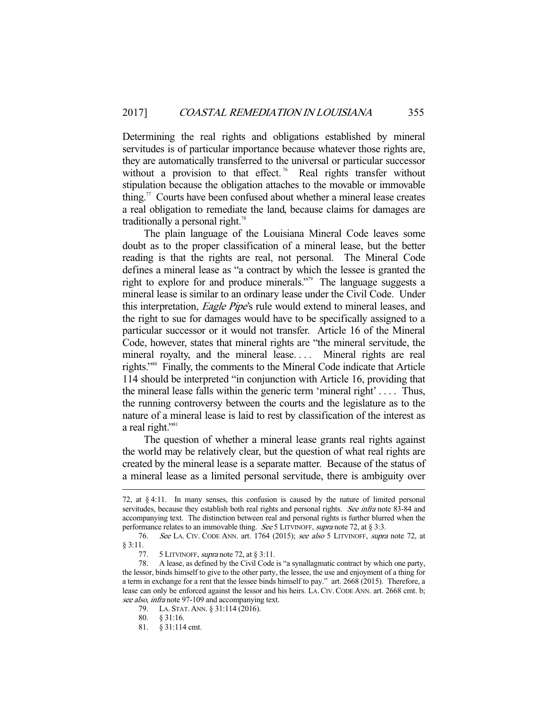Determining the real rights and obligations established by mineral servitudes is of particular importance because whatever those rights are, they are automatically transferred to the universal or particular successor without a provision to that effect.<sup>76</sup> Real rights transfer without stipulation because the obligation attaches to the movable or immovable thing.<sup>77</sup> Courts have been confused about whether a mineral lease creates a real obligation to remediate the land, because claims for damages are traditionally a personal right.<sup>78</sup>

 The plain language of the Louisiana Mineral Code leaves some doubt as to the proper classification of a mineral lease, but the better reading is that the rights are real, not personal. The Mineral Code defines a mineral lease as "a contract by which the lessee is granted the right to explore for and produce minerals."<sup>79</sup> The language suggests a mineral lease is similar to an ordinary lease under the Civil Code. Under this interpretation, *Eagle Pipe's* rule would extend to mineral leases, and the right to sue for damages would have to be specifically assigned to a particular successor or it would not transfer. Article 16 of the Mineral Code, however, states that mineral rights are "the mineral servitude, the mineral royalty, and the mineral lease.... Mineral rights are real rights."80 Finally, the comments to the Mineral Code indicate that Article 114 should be interpreted "in conjunction with Article 16, providing that the mineral lease falls within the generic term 'mineral right' . . . . Thus, the running controversy between the courts and the legislature as to the nature of a mineral lease is laid to rest by classification of the interest as a real right."<sup>81</sup>

 The question of whether a mineral lease grants real rights against the world may be relatively clear, but the question of what real rights are created by the mineral lease is a separate matter. Because of the status of a mineral lease as a limited personal servitude, there is ambiguity over

<sup>72,</sup> at § 4:11. In many senses, this confusion is caused by the nature of limited personal servitudes, because they establish both real rights and personal rights. See infra note 83-84 and accompanying text. The distinction between real and personal rights is further blurred when the performance relates to an immovable thing. See 5 LITVINOFF, supra note 72, at § 3:3.

 <sup>76.</sup> See LA. CIV. CODE ANN. art. 1764 (2015); see also 5 LITVINOFF, supra note 72, at § 3:11.

<sup>77. 5</sup> LITVINOFF, *supra* note 72, at  $\S 3:11$ .<br>78. A lease, as defined by the Civil Code

 <sup>78.</sup> A lease, as defined by the Civil Code is "a synallagmatic contract by which one party, the lessor, binds himself to give to the other party, the lessee, the use and enjoyment of a thing for a term in exchange for a rent that the lessee binds himself to pay." art. 2668 (2015). Therefore, a lease can only be enforced against the lessor and his heirs. LA.CIV.CODE ANN. art. 2668 cmt. b; see also, infra note 97-109 and accompanying text.

 <sup>79.</sup> LA. STAT. ANN. § 31:114 (2016).

 <sup>80. § 31:16.</sup> 

 <sup>81. § 31:114</sup> cmt.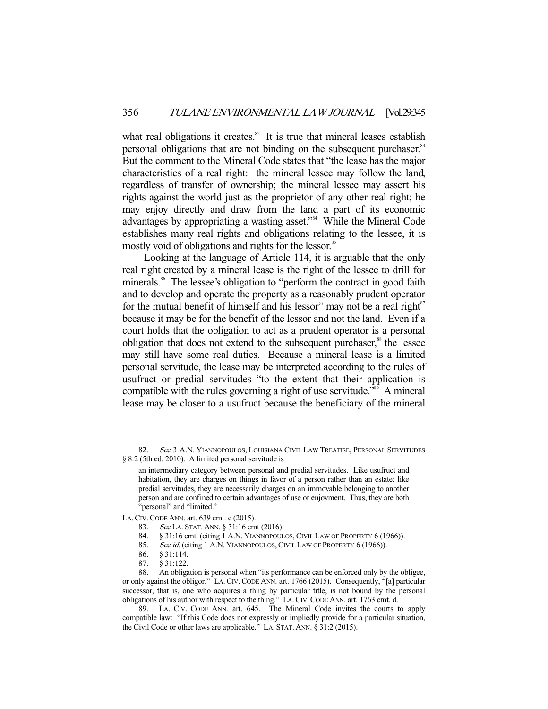what real obligations it creates. $82$  It is true that mineral leases establish personal obligations that are not binding on the subsequent purchaser.<sup>83</sup> But the comment to the Mineral Code states that "the lease has the major characteristics of a real right: the mineral lessee may follow the land, regardless of transfer of ownership; the mineral lessee may assert his rights against the world just as the proprietor of any other real right; he may enjoy directly and draw from the land a part of its economic advantages by appropriating a wasting asset."84 While the Mineral Code establishes many real rights and obligations relating to the lessee, it is mostly void of obligations and rights for the lessor.<sup>85</sup>

 Looking at the language of Article 114, it is arguable that the only real right created by a mineral lease is the right of the lessee to drill for minerals.<sup>86</sup> The lessee's obligation to "perform the contract in good faith and to develop and operate the property as a reasonably prudent operator for the mutual benefit of himself and his lessor" may not be a real right $s<sup>7</sup>$ because it may be for the benefit of the lessor and not the land. Even if a court holds that the obligation to act as a prudent operator is a personal obligation that does not extend to the subsequent purchaser,<sup>88</sup> the lessee may still have some real duties. Because a mineral lease is a limited personal servitude, the lease may be interpreted according to the rules of usufruct or predial servitudes "to the extent that their application is compatible with the rules governing a right of use servitude."<sup>89</sup> A mineral lease may be closer to a usufruct because the beneficiary of the mineral

<sup>82.</sup> See 3 A.N. YIANNOPOULOS, LOUISIANA CIVIL LAW TREATISE, PERSONAL SERVITUDES § 8:2 (5th ed. 2010). A limited personal servitude is

an intermediary category between personal and predial servitudes. Like usufruct and habitation, they are charges on things in favor of a person rather than an estate; like predial servitudes, they are necessarily charges on an immovable belonging to another person and are confined to certain advantages of use or enjoyment. Thus, they are both "personal" and "limited."

LA.CIV.CODE ANN. art. 639 cmt. c (2015).

 <sup>83.</sup> See LA. STAT. ANN. § 31:16 cmt (2016).

<sup>84. § 31:16</sup> cmt. (citing 1 A.N. YIANNOPOULOS, CIVIL LAW OF PROPERTY 6 (1966)).

<sup>85.</sup> See id. (citing 1 A.N. YIANNOPOULOS, CIVIL LAW OF PROPERTY 6 (1966)).<br>86.  $\,$  8 31:114.

 <sup>86. § 31:114.</sup> 

 <sup>87. § 31:122.</sup> 

 <sup>88.</sup> An obligation is personal when "its performance can be enforced only by the obligee, or only against the obligor." LA.CIV.CODE ANN. art. 1766 (2015). Consequently, "[a] particular successor, that is, one who acquires a thing by particular title, is not bound by the personal obligations of his author with respect to the thing." LA.CIV.CODE ANN. art. 1763 cmt. d.

 <sup>89.</sup> LA. CIV. CODE ANN. art. 645. The Mineral Code invites the courts to apply compatible law: "If this Code does not expressly or impliedly provide for a particular situation, the Civil Code or other laws are applicable." LA. STAT. ANN. § 31:2 (2015).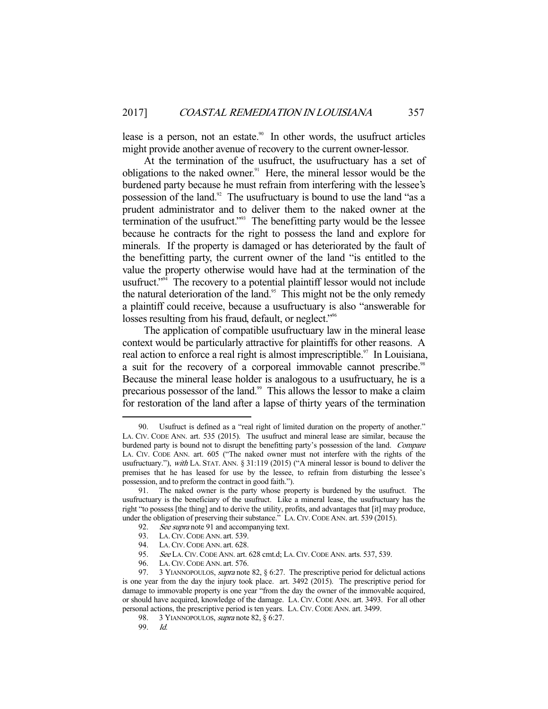lease is a person, not an estate.<sup>90</sup> In other words, the usufruct articles might provide another avenue of recovery to the current owner-lessor.

 At the termination of the usufruct, the usufructuary has a set of obligations to the naked owner. $91$  Here, the mineral lessor would be the burdened party because he must refrain from interfering with the lessee's possession of the land.<sup>92</sup> The usufructuary is bound to use the land "as a prudent administrator and to deliver them to the naked owner at the termination of the usufruct."<sup>93</sup> The benefitting party would be the lessee because he contracts for the right to possess the land and explore for minerals. If the property is damaged or has deteriorated by the fault of the benefitting party, the current owner of the land "is entitled to the value the property otherwise would have had at the termination of the usufruct."<sup>94</sup> The recovery to a potential plaintiff lessor would not include the natural deterioration of the land.<sup>95</sup> This might not be the only remedy a plaintiff could receive, because a usufructuary is also "answerable for losses resulting from his fraud, default, or neglect."<sup>96</sup>

 The application of compatible usufructuary law in the mineral lease context would be particularly attractive for plaintiffs for other reasons. A real action to enforce a real right is almost imprescriptible.<sup>97</sup> In Louisiana, a suit for the recovery of a corporeal immovable cannot prescribe.<sup>98</sup> Because the mineral lease holder is analogous to a usufructuary, he is a precarious possessor of the land.<sup>99</sup> This allows the lessor to make a claim for restoration of the land after a lapse of thirty years of the termination

 <sup>90.</sup> Usufruct is defined as a "real right of limited duration on the property of another." LA. CIV. CODE ANN. art. 535 (2015). The usufruct and mineral lease are similar, because the burdened party is bound not to disrupt the benefitting party's possession of the land. Compare LA. CIV. CODE ANN. art. 605 ("The naked owner must not interfere with the rights of the usufructuary."), with LA. STAT. ANN. § 31:119 (2015) ("A mineral lessor is bound to deliver the premises that he has leased for use by the lessee, to refrain from disturbing the lessee's possession, and to preform the contract in good faith.").

 <sup>91.</sup> The naked owner is the party whose property is burdened by the usufruct. The usufructuary is the beneficiary of the usufruct. Like a mineral lease, the usufructuary has the right "to possess [the thing] and to derive the utility, profits, and advantages that [it] may produce, under the obligation of preserving their substance." LA.CIV.CODE ANN. art. 539 (2015).

<sup>92.</sup> See supra note 91 and accompanying text.

<sup>93.</sup> LA. CIV. CODE ANN. art. 539.

<sup>94.</sup> LA. CIV. CODE ANN. art. 628.<br>95. See LA. CIV. CODE ANN. art.

See LA. CIV. CODE ANN. art. 628 cmt.d; LA. CIV. CODE ANN. arts. 537, 539.

 <sup>96.</sup> LA.CIV.CODE ANN. art. 576.

<sup>97. 3</sup> YIANNOPOULOS, *supra* note 82, § 6:27. The prescriptive period for delictual actions is one year from the day the injury took place. art. 3492 (2015). The prescriptive period for damage to immovable property is one year "from the day the owner of the immovable acquired, or should have acquired, knowledge of the damage. LA.CIV.CODE ANN. art. 3493. For all other personal actions, the prescriptive period is ten years. LA.CIV.CODE ANN. art. 3499.

<sup>98. 3</sup> YIANNOPOULOS, *supra* note 82, § 6:27.

 <sup>99.</sup> Id.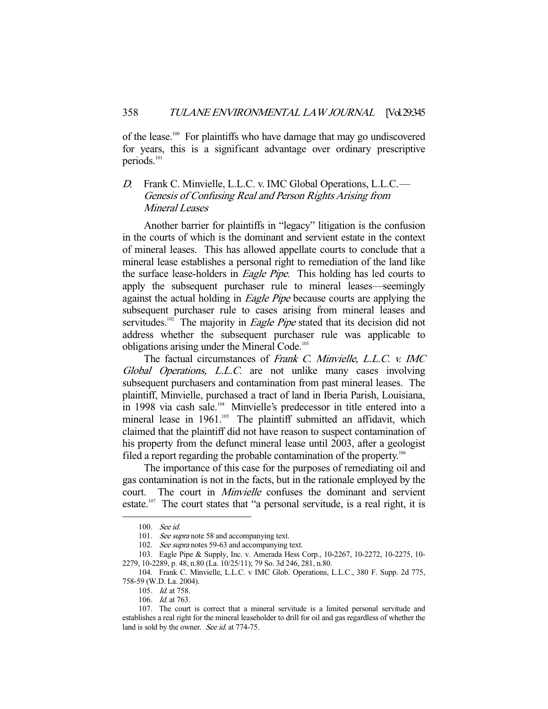of the lease.100 For plaintiffs who have damage that may go undiscovered for years, this is a significant advantage over ordinary prescriptive periods.<sup>101</sup>

# D. Frank C. Minvielle, L.L.C. v. IMC Global Operations, L.L.C.— Genesis of Confusing Real and Person Rights Arising from Mineral Leases

 Another barrier for plaintiffs in "legacy" litigation is the confusion in the courts of which is the dominant and servient estate in the context of mineral leases. This has allowed appellate courts to conclude that a mineral lease establishes a personal right to remediation of the land like the surface lease-holders in *Eagle Pipe*. This holding has led courts to apply the subsequent purchaser rule to mineral leases—seemingly against the actual holding in *Eagle Pipe* because courts are applying the subsequent purchaser rule to cases arising from mineral leases and servitudes.<sup>102</sup> The majority in *Eagle Pipe* stated that its decision did not address whether the subsequent purchaser rule was applicable to obligations arising under the Mineral Code.<sup>103</sup>

The factual circumstances of Frank C. Minvielle, L.L.C. v. IMC Global Operations, L.L.C. are not unlike many cases involving subsequent purchasers and contamination from past mineral leases. The plaintiff, Minvielle, purchased a tract of land in Iberia Parish, Louisiana, in 1998 via cash sale.<sup>104</sup> Minvielle's predecessor in title entered into a mineral lease in 1961.<sup>105</sup> The plaintiff submitted an affidavit, which claimed that the plaintiff did not have reason to suspect contamination of his property from the defunct mineral lease until 2003, after a geologist filed a report regarding the probable contamination of the property.<sup>106</sup>

 The importance of this case for the purposes of remediating oil and gas contamination is not in the facts, but in the rationale employed by the court. The court in *Minvielle* confuses the dominant and servient estate.<sup>107</sup> The court states that "a personal servitude, is a real right, it is

 <sup>100.</sup> See id.

<sup>101.</sup> See supra note 58 and accompanying text.

<sup>102.</sup> See supra notes 59-63 and accompanying text.

 <sup>103.</sup> Eagle Pipe & Supply, Inc. v. Amerada Hess Corp., 10-2267, 10-2272, 10-2275, 10- 2279, 10-2289, p. 48, n.80 (La. 10/25/11); 79 So. 3d 246, 281, n.80.

 <sup>104.</sup> Frank C. Minvielle, L.L.C. v IMC Glob. Operations, L.L.C., 380 F. Supp. 2d 775, 758-59 (W.D. La. 2004).

 <sup>105.</sup> Id. at 758.

 <sup>106.</sup> Id. at 763.

 <sup>107.</sup> The court is correct that a mineral servitude is a limited personal servitude and establishes a real right for the mineral leaseholder to drill for oil and gas regardless of whether the land is sold by the owner. See id. at 774-75.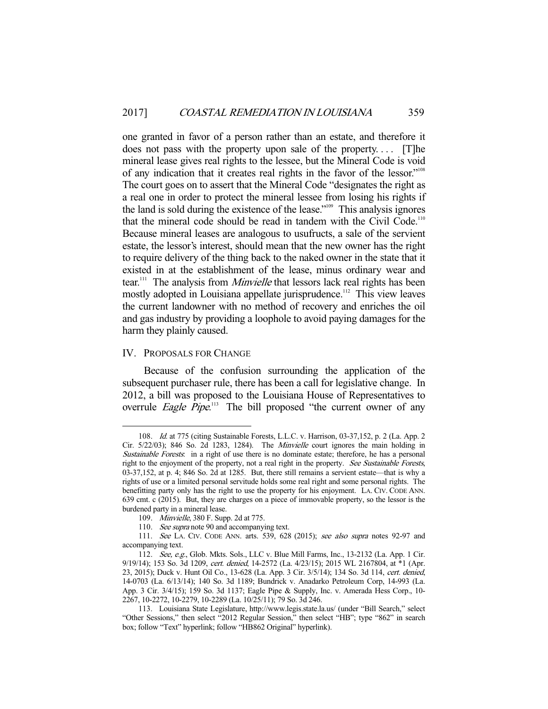one granted in favor of a person rather than an estate, and therefore it does not pass with the property upon sale of the property.... [T]he mineral lease gives real rights to the lessee, but the Mineral Code is void of any indication that it creates real rights in the favor of the lessor."108 The court goes on to assert that the Mineral Code "designates the right as a real one in order to protect the mineral lessee from losing his rights if the land is sold during the existence of the lease."109 This analysis ignores that the mineral code should be read in tandem with the Civil Code.<sup>110</sup> Because mineral leases are analogous to usufructs, a sale of the servient estate, the lessor's interest, should mean that the new owner has the right to require delivery of the thing back to the naked owner in the state that it existed in at the establishment of the lease, minus ordinary wear and tear.<sup>111</sup> The analysis from *Minvielle* that lessors lack real rights has been mostly adopted in Louisiana appellate jurisprudence.<sup>112</sup> This view leaves the current landowner with no method of recovery and enriches the oil and gas industry by providing a loophole to avoid paying damages for the harm they plainly caused.

#### IV. PROPOSALS FOR CHANGE

-

 Because of the confusion surrounding the application of the subsequent purchaser rule, there has been a call for legislative change. In 2012, a bill was proposed to the Louisiana House of Representatives to overrule *Eagle Pipe*.<sup>113</sup> The bill proposed "the current owner of any

 <sup>108.</sup> Id. at 775 (citing Sustainable Forests, L.L.C. v. Harrison, 03-37,152, p. 2 (La. App. 2 Cir. 5/22/03); 846 So. 2d 1283, 1284). The Minvielle court ignores the main holding in Sustainable Forests: in a right of use there is no dominate estate; therefore, he has a personal right to the enjoyment of the property, not a real right in the property. See Sustainable Forests, 03-37,152, at p. 4; 846 So. 2d at 1285. But, there still remains a servient estate—that is why a rights of use or a limited personal servitude holds some real right and some personal rights. The benefitting party only has the right to use the property for his enjoyment. LA. CIV. CODE ANN. 639 cmt. c (2015). But, they are charges on a piece of immovable property, so the lessor is the burdened party in a mineral lease.

 <sup>109.</sup> Minvielle, 380 F. Supp. 2d at 775.

<sup>110.</sup> See supra note 90 and accompanying text.

<sup>111.</sup> See LA. CIV. CODE ANN. arts. 539, 628 (2015); see also supra notes 92-97 and accompanying text.

 <sup>112.</sup> See, e.g., Glob. Mkts. Sols., LLC v. Blue Mill Farms, Inc., 13-2132 (La. App. 1 Cir. 9/19/14); 153 So. 3d 1209, cert. denied, 14-2572 (La. 4/23/15); 2015 WL 2167804, at \*1 (Apr. 23, 2015); Duck v. Hunt Oil Co., 13-628 (La. App. 3 Cir. 3/5/14); 134 So. 3d 114, cert. denied, 14-0703 (La. 6/13/14); 140 So. 3d 1189; Bundrick v. Anadarko Petroleum Corp, 14-993 (La. App. 3 Cir. 3/4/15); 159 So. 3d 1137; Eagle Pipe & Supply, Inc. v. Amerada Hess Corp., 10- 2267, 10-2272, 10-2279, 10-2289 (La. 10/25/11); 79 So. 3d 246.

 <sup>113.</sup> Louisiana State Legislature, http://www.legis.state.la.us/ (under "Bill Search," select "Other Sessions," then select "2012 Regular Session," then select "HB"; type "862" in search box; follow "Text" hyperlink; follow "HB862 Original" hyperlink).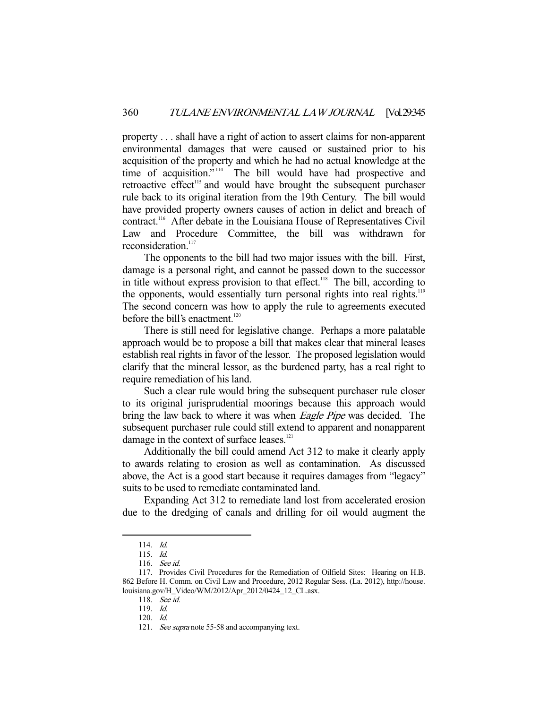property . . . shall have a right of action to assert claims for non-apparent environmental damages that were caused or sustained prior to his acquisition of the property and which he had no actual knowledge at the time of acquisition."<sup>114</sup> The bill would have had prospective and retroactive effect<sup>115</sup> and would have brought the subsequent purchaser rule back to its original iteration from the 19th Century. The bill would have provided property owners causes of action in delict and breach of contract.116 After debate in the Louisiana House of Representatives Civil Law and Procedure Committee, the bill was withdrawn for reconsideration.<sup>117</sup>

 The opponents to the bill had two major issues with the bill. First, damage is a personal right, and cannot be passed down to the successor in title without express provision to that effect.<sup>118</sup> The bill, according to the opponents, would essentially turn personal rights into real rights.<sup>119</sup> The second concern was how to apply the rule to agreements executed before the bill's enactment. $120$ 

 There is still need for legislative change. Perhaps a more palatable approach would be to propose a bill that makes clear that mineral leases establish real rights in favor of the lessor. The proposed legislation would clarify that the mineral lessor, as the burdened party, has a real right to require remediation of his land.

 Such a clear rule would bring the subsequent purchaser rule closer to its original jurisprudential moorings because this approach would bring the law back to where it was when *Eagle Pipe* was decided. The subsequent purchaser rule could still extend to apparent and nonapparent damage in the context of surface leases.<sup>121</sup>

 Additionally the bill could amend Act 312 to make it clearly apply to awards relating to erosion as well as contamination. As discussed above, the Act is a good start because it requires damages from "legacy" suits to be used to remediate contaminated land.

 Expanding Act 312 to remediate land lost from accelerated erosion due to the dredging of canals and drilling for oil would augment the

 <sup>114.</sup> Id.

 <sup>115.</sup> Id.

 <sup>116.</sup> See id.

 <sup>117.</sup> Provides Civil Procedures for the Remediation of Oilfield Sites: Hearing on H.B. 862 Before H. Comm. on Civil Law and Procedure, 2012 Regular Sess. (La. 2012), http://house. louisiana.gov/H\_Video/WM/2012/Apr\_2012/0424\_12\_CL.asx.

 <sup>118.</sup> See id.

 <sup>119.</sup> Id.

 <sup>120.</sup> Id.

<sup>121.</sup> See supra note 55-58 and accompanying text.